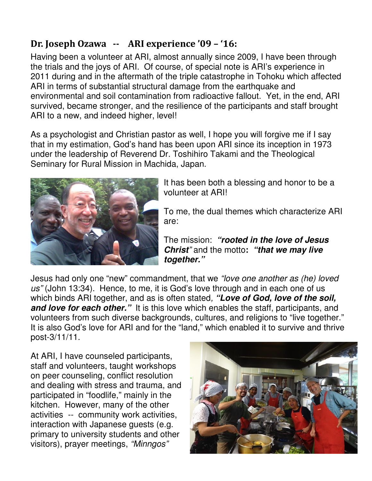## **Dr. Joseph Ozawa -- ARI experience '09 – '16:**

Having been a volunteer at ARI, almost annually since 2009, I have been through the trials and the joys of ARI. Of course, of special note is ARI's experience in 2011 during and in the aftermath of the triple catastrophe in Tohoku which affected ARI in terms of substantial structural damage from the earthquake and environmental and soil contamination from radioactive fallout. Yet, in the end, ARI survived, became stronger, and the resilience of the participants and staff brought ARI to a new, and indeed higher, level!

As a psychologist and Christian pastor as well, I hope you will forgive me if I say that in my estimation, God's hand has been upon ARI since its inception in 1973 under the leadership of Reverend Dr. Toshihiro Takami and the Theological Seminary for Rural Mission in Machida, Japan.



It has been both a blessing and honor to be a volunteer at ARI!

To me, the dual themes which characterize ARI are:

The mission: **"rooted in the love of Jesus Christ**" and the motto**: "that we may live together."** 

Jesus had only one "new" commandment, that we "love one another as (he) loved us" (John 13:34). Hence, to me, it is God's love through and in each one of us which binds ARI together, and as is often stated, **"Love of God, love of the soil, and love for each other.**" It is this love which enables the staff, participants, and volunteers from such diverse backgrounds, cultures, and religions to "live together." It is also God's love for ARI and for the "land," which enabled it to survive and thrive post-3/11/11.

At ARI, I have counseled participants, staff and volunteers, taught workshops on peer counseling, conflict resolution and dealing with stress and trauma, and participated in "foodlife," mainly in the kitchen. However, many of the other activities -- community work activities, interaction with Japanese guests (e.g. primary to university students and other visitors), prayer meetings, "Minngos"